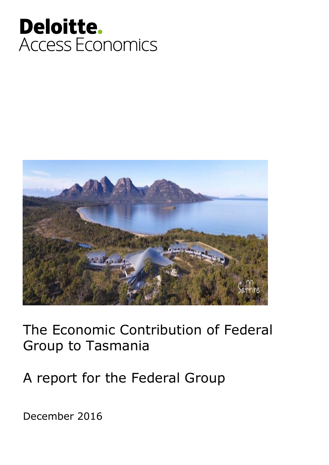



The Economic Contribution of Federal Group to Tasmania

A report for the Federal Group

December 2016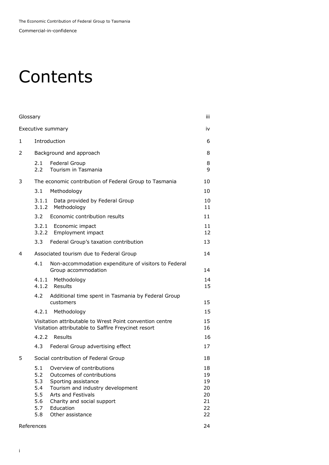Commercial-in-confidence

### **Contents**

| Glossary |                                                      |                                                                                                                                                                                                        | iii                                          |
|----------|------------------------------------------------------|--------------------------------------------------------------------------------------------------------------------------------------------------------------------------------------------------------|----------------------------------------------|
|          |                                                      | Executive summary                                                                                                                                                                                      | iv                                           |
| 1        |                                                      | Introduction                                                                                                                                                                                           | 6                                            |
| 2        |                                                      | Background and approach                                                                                                                                                                                | 8                                            |
|          | 2.1<br>2.2                                           | Federal Group<br>Tourism in Tasmania                                                                                                                                                                   | 8<br>9                                       |
| 3        |                                                      | The economic contribution of Federal Group to Tasmania                                                                                                                                                 | 10                                           |
|          | 3.1                                                  | Methodology                                                                                                                                                                                            | 10                                           |
|          | 3.1.1<br>3.1.2                                       | Data provided by Federal Group<br>Methodology                                                                                                                                                          | 10<br>11                                     |
|          | 3.2                                                  | Economic contribution results                                                                                                                                                                          | 11                                           |
|          |                                                      | 3.2.1 Economic impact<br>3.2.2 Employment impact                                                                                                                                                       | 11<br>12                                     |
|          | 3.3                                                  | Federal Group's taxation contribution                                                                                                                                                                  | 13                                           |
| 4        |                                                      | Associated tourism due to Federal Group                                                                                                                                                                | 14                                           |
|          | 4.1                                                  | Non-accommodation expenditure of visitors to Federal<br>Group accommodation                                                                                                                            | 14                                           |
|          | 4.1.1                                                | Methodology<br>4.1.2 Results                                                                                                                                                                           | 14<br>15                                     |
|          | 4.2                                                  | Additional time spent in Tasmania by Federal Group<br>customers                                                                                                                                        | 15                                           |
|          | 4.2.1                                                | Methodology                                                                                                                                                                                            | 15                                           |
|          |                                                      | Visitation attributable to Wrest Point convention centre<br>Visitation attributable to Saffire Freycinet resort                                                                                        | 15<br>16                                     |
|          |                                                      | 4.2.2 Results                                                                                                                                                                                          | 16                                           |
|          | 4.3                                                  | Federal Group advertising effect                                                                                                                                                                       | 17                                           |
| 5        |                                                      | Social contribution of Federal Group                                                                                                                                                                   | 18                                           |
|          | 5.1<br>5.2<br>5.3<br>5.4<br>5.5<br>5.6<br>5.7<br>5.8 | Overview of contributions<br>Outcomes of contributions<br>Sporting assistance<br>Tourism and industry development<br>Arts and Festivals<br>Charity and social support<br>Education<br>Other assistance | 18<br>19<br>19<br>20<br>20<br>21<br>22<br>22 |
|          | References                                           |                                                                                                                                                                                                        | 24                                           |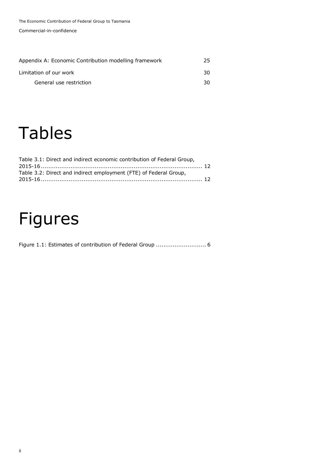Commercial-in-confidence

| Appendix A: Economic Contribution modelling framework | 25 |
|-------------------------------------------------------|----|
| Limitation of our work                                | 30 |
| General use restriction                               | 30 |

### Tables

| Table 3.1: Direct and indirect economic contribution of Federal Group, |  |
|------------------------------------------------------------------------|--|
|                                                                        |  |
| Table 3.2: Direct and indirect employment (FTE) of Federal Group,      |  |
|                                                                        |  |

# Figures

[Figure 1.1: Estimates of contribution of Federal Group](#page-6-0) ................................ 6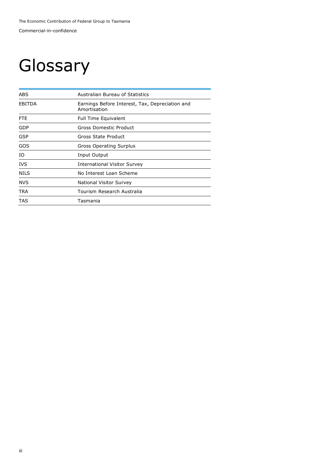# **Glossary**

| ABS           | <b>Australian Bureau of Statistics</b>                          |  |
|---------------|-----------------------------------------------------------------|--|
| <b>EBITDA</b> | Earnings Before Interest, Tax, Depreciation and<br>Amortisation |  |
| <b>FTE</b>    | <b>Full Time Equivalent</b>                                     |  |
| <b>GDP</b>    | Gross Domestic Product                                          |  |
| <b>GSP</b>    | Gross State Product                                             |  |
| GOS           | Gross Operating Surplus                                         |  |
| ΙO            | Input Output                                                    |  |
| <b>IVS</b>    | <b>International Visitor Survey</b>                             |  |
| <b>NILS</b>   | No Interest Loan Scheme                                         |  |
| <b>NVS</b>    | National Visitor Survey                                         |  |
| TRA           | Tourism Research Australia                                      |  |
| TAS           | Tasmania                                                        |  |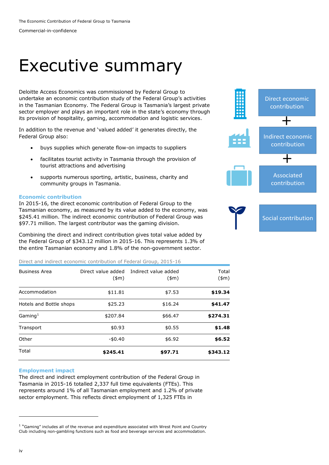Commercial-in-confidence

### Executive summary

Deloitte Access Economics was commissioned by Federal Group to undertake an economic contribution study of the Federal Group's activities in the Tasmanian Economy. The Federal Group is Tasmania's largest private sector employer and plays an important role in the state's economy through its provision of hospitality, gaming, accommodation and logistic services.

In addition to the revenue and 'valued added' it generates directly, the Federal Group also:

- buys supplies which generate flow-on impacts to suppliers
- facilitates tourist activity in Tasmania through the provision of tourist attractions and advertising
- supports numerous sporting, artistic, business, charity and community groups in Tasmania.

#### **Economic contribution**

In 2015-16, the direct economic contribution of Federal Group to the Tasmanian economy, as measured by its value added to the economy, was \$245.41 million. The indirect economic contribution of Federal Group was \$97.71 million. The largest contributor was the gaming division.

Combining the direct and indirect contribution gives total value added by the Federal Group of \$343.12 million in 2015-16. This represents 1.3% of the entire Tasmanian economy and 1.8% of the non-government sector.

#### Direct and indirect economic contribution of Federal Group, 2015-16

| <b>Business Area</b>    | $(\text{m})$ | Direct value added Indirect value added<br>(\$m) | Total<br>(\$m) |
|-------------------------|--------------|--------------------------------------------------|----------------|
| Accommodation           | \$11.81      | \$7.53                                           | \$19.34        |
| Hotels and Bottle shops | \$25.23      | \$16.24                                          | \$41.47        |
| Gaming <sup>1</sup>     | \$207.84     | \$66.47                                          | \$274.31       |
| Transport               | \$0.93       | \$0.55                                           | \$1.48         |
| Other                   | $-$0.40$     | \$6.92                                           | \$6.52         |
| Total                   | \$245.41     | \$97.71                                          | \$343.12       |

#### **Employment impact**

The direct and indirect employment contribution of the Federal Group in Tasmania in 2015-16 totalled 2,337 full time equivalents (FTEs). This represents around 1% of all Tasmanian employment and 1.2% of private sector employment. This reflects direct employment of 1,325 FTEs in



-

<sup>&</sup>lt;sup>1</sup> "Gaming" includes all of the revenue and expenditure associated with Wrest Point and Country Club including non-gambling functions such as food and beverage services and accommodation.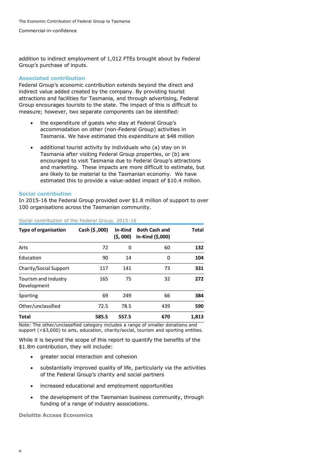Commercial-in-confidence

addition to indirect employment of 1,012 FTEs brought about by Federal Group's purchase of inputs.

#### **Associated contribution**

Federal Group's economic contribution extends beyond the direct and indirect value added created by the company. By providing tourist attractions and facilities for Tasmania, and through advertising, Federal Group encourages tourists to the state. The impact of this is difficult to measure; however, two separate components can be identified:

- the expenditure of guests who stay at Federal Group's accommodation on other (non-Federal Group) activities in Tasmania. We have estimated this expenditure at \$48 million
- additional tourist activity by individuals who (a) stay on in Tasmania after visiting Federal Group properties, or (b) are encouraged to visit Tasmania due to Federal Group's attractions and marketing. These impacts are more difficult to estimate, but are likely to be material to the Tasmanian economy. We have estimated this to provide a value-added impact of \$10.4 million.

#### **Social contribution**

In 2015-16 the Federal Group provided over \$1.8 million of support to over 100 organisations across the Tasmanian community.

| <b>Type of organisation</b>         | Cash (\$,000) | In-Kind<br>(\$, 000) | <b>Both Cash and</b><br>In-Kind (\$,000) | <b>Total</b> |
|-------------------------------------|---------------|----------------------|------------------------------------------|--------------|
| Arts                                | 72            | 0                    | 60                                       | 132          |
| Education                           | 90            | 14                   | 0                                        | 104          |
| Charity/Social Support              | 117           | 141                  | 73                                       | 331          |
| Tourism and Industry<br>Development | 165           | 75                   | 32                                       | 272          |
| Sporting                            | 69            | 249                  | 66                                       | 384          |
| Other/unclassified                  | 72.5          | 78.5                 | 439                                      | 590          |
| Total                               | 585.5         | 557.5                | 670                                      | 1,813        |

#### Social contribution of the Federal Group, 2015-16

Note: The other/unclassified category includes a range of smaller donations and support (<\$3,000) to arts, education, charity/social, tourism and sporting entities.

While it is beyond the scope of this report to quantify the benefits of the \$1.8m contribution, they will include:

- greater social interaction and cohesion
- substantially improved quality of life, particularly via the activities of the Federal Group's charity and social partners
- increased educational and employment opportunities
- the development of the Tasmanian business community, through funding of a range of industry associations.

**Deloitte Access Economics**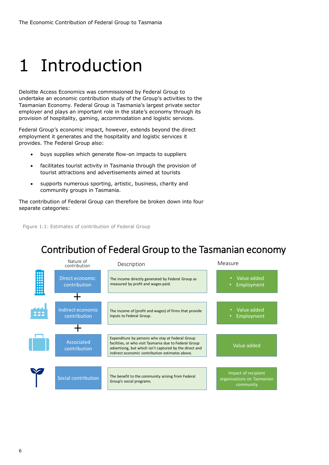# 1 Introduction

Deloitte Access Economics was commissioned by Federal Group to undertake an economic contribution study of the Group's activities to the Tasmanian Economy. Federal Group is Tasmania's largest private sector employer and plays an important role in the state's economy through its provision of hospitality, gaming, accommodation and logistic services.

Federal Group's economic impact, however, extends beyond the direct employment it generates and the hospitality and logistic services it provides. The Federal Group also:

- buys supplies which generate flow-on impacts to suppliers
- facilitates tourist activity in Tasmania through the provision of tourist attractions and advertisements aimed at tourists
- supports numerous sporting, artistic, business, charity and community groups in Tasmania.

The contribution of Federal Group can therefore be broken down into four separate categories:

<span id="page-6-0"></span>Figure 1.1: Estimates of contribution of Federal Group

### Contribution of Federal Group to the Tasmanian economy

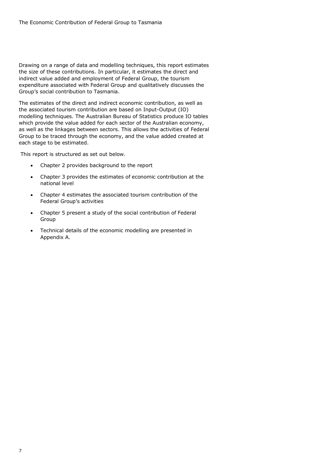Drawing on a range of data and modelling techniques, this report estimates the size of these contributions. In particular, it estimates the direct and indirect value added and employment of Federal Group, the tourism expenditure associated with Federal Group and qualitatively discusses the Group's social contribution to Tasmania.

The estimates of the direct and indirect economic contribution, as well as the associated tourism contribution are based on Input-Output (IO) modelling techniques. The Australian Bureau of Statistics produce IO tables which provide the value added for each sector of the Australian economy, as well as the linkages between sectors. This allows the activities of Federal Group to be traced through the economy, and the value added created at each stage to be estimated.

This report is structured as set out below.

- Chapter 2 provides background to the report
- Chapter 3 provides the estimates of economic contribution at the national level
- Chapter 4 estimates the associated tourism contribution of the Federal Group's activities
- Chapter 5 present a study of the social contribution of Federal Group
- Technical details of the economic modelling are presented in Appendix A.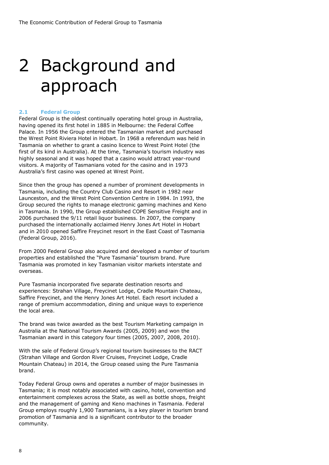### 2 Background and approach

#### **2.1 Federal Group**

Federal Group is the oldest continually operating hotel group in Australia, having opened its first hotel in 1885 in Melbourne: the Federal Coffee Palace. In 1956 the Group entered the Tasmanian market and purchased the Wrest Point Riviera Hotel in Hobart. In 1968 a referendum was held in Tasmania on whether to grant a casino licence to Wrest Point Hotel (the first of its kind in Australia). At the time, Tasmania's tourism industry was highly seasonal and it was hoped that a casino would attract year-round visitors. A majority of Tasmanians voted for the casino and in 1973 Australia's first casino was opened at Wrest Point.

Since then the group has opened a number of prominent developments in Tasmania, including the Country Club Casino and Resort in 1982 near Launceston, and the Wrest Point Convention Centre in 1984. In 1993, the Group secured the rights to manage electronic gaming machines and Keno in Tasmania. In 1990, the Group established COPE Sensitive Freight and in 2006 purchased the 9/11 retail liquor business. In 2007, the company purchased the internationally acclaimed Henry Jones Art Hotel in Hobart and in 2010 opened Saffire Freycinet resort in the East Coast of Tasmania (Federal Group, 2016).

From 2000 Federal Group also acquired and developed a number of tourism properties and established the "Pure Tasmania" tourism brand. Pure Tasmania was promoted in key Tasmanian visitor markets interstate and overseas.

Pure Tasmania incorporated five separate destination resorts and experiences: Strahan Village, Freycinet Lodge, Cradle Mountain Chateau, Saffire Freycinet, and the Henry Jones Art Hotel. Each resort included a range of premium accommodation, dining and unique ways to experience the local area.

The brand was twice awarded as the best Tourism Marketing campaign in Australia at the National Tourism Awards (2005, 2009) and won the Tasmanian award in this category four times (2005, 2007, 2008, 2010).

With the sale of Federal Group's regional tourism businesses to the RACT (Strahan Village and Gordon River Cruises, Freycinet Lodge, Cradle Mountain Chateau) in 2014, the Group ceased using the Pure Tasmania brand.

Today Federal Group owns and operates a number of major businesses in Tasmania; it is most notably associated with casino, hotel, convention and entertainment complexes across the State, as well as bottle shops, freight and the management of gaming and Keno machines in Tasmania. Federal Group employs roughly 1,900 Tasmanians, is a key player in tourism brand promotion of Tasmania and is a significant contributor to the broader community.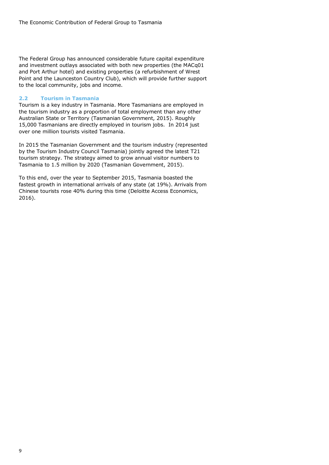The Federal Group has announced considerable future capital expenditure and investment outlays associated with both new properties (the MACq01 and Port Arthur hotel) and existing properties (a refurbishment of Wrest Point and the Launceston Country Club), which will provide further support to the local community, jobs and income.

#### **2.2 Tourism in Tasmania**

Tourism is a key industry in Tasmania. More Tasmanians are employed in the tourism industry as a proportion of total employment than any other Australian State or Territory (Tasmanian Government, 2015). Roughly 15,000 Tasmanians are directly employed in tourism jobs. In 2014 just over one million tourists visited Tasmania.

In 2015 the Tasmanian Government and the tourism industry (represented by the Tourism Industry Council Tasmania) jointly agreed the latest T21 tourism strategy. The strategy aimed to grow annual visitor numbers to Tasmania to 1.5 million by 2020 (Tasmanian Government, 2015).

To this end, over the year to September 2015, Tasmania boasted the fastest growth in international arrivals of any state (at 19%). Arrivals from Chinese tourists rose 40% during this time (Deloitte Access Economics, 2016).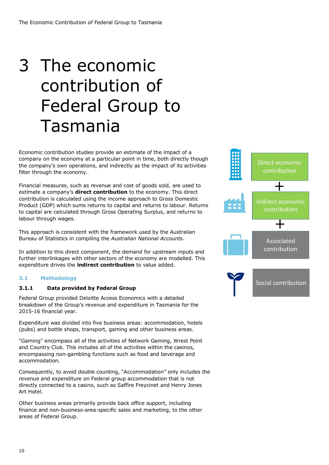### 3 The economic contribution of Federal Group to Tasmania

Economic contribution studies provide an estimate of the impact of a company on the economy at a particular point in time, both directly though the company's own operations, and indirectly as the impact of its activities filter through the economy.

Financial measures, such as revenue and cost of goods sold, are used to estimate a company's **direct contribution** to the economy. This direct contribution is calculated using the income approach to Gross Domestic Product (GDP) which sums returns to capital and returns to labour. Returns to capital are calculated through Gross Operating Surplus, and returns to labour through wages.

This approach is consistent with the framework used by the Australian Bureau of Statistics in compiling the *Australian National Accounts*.

In addition to this direct component, the demand for upstream inputs and further interlinkages with other sectors of the economy are modelled. This expenditure drives the **indirect contribution** to value added.

#### **3.1 Methodology**

#### <span id="page-10-0"></span>**3.1.1 Data provided by Federal Group**

Federal Group provided Deloitte Access Economics with a detailed breakdown of the Group's revenue and expenditure in Tasmania for the 2015-16 financial year.

Expenditure was divided into five business areas: accommodation, hotels (pubs) and bottle shops, transport, gaming and other business areas.

"Gaming" encompass all of the activities of Network Gaming, Wrest Point and Country Club. This includes all of the activities within the casinos, encompassing non-gambling functions such as food and beverage and accommodation.

Consequently, to avoid double counting, "Accommodation" only includes the revenue and expenditure on Federal group accommodation that is not directly connected to a casino, such as Saffire Freycinet and Henry Jones Art Hotel.

Other business areas primarily provide back office support, including finance and non-business-area-specific sales and marketing, to the other areas of Federal Group.

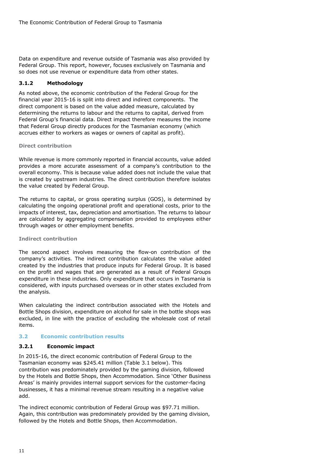Data on expenditure and revenue outside of Tasmania was also provided by Federal Group. This report, however, focuses exclusively on Tasmania and so does not use revenue or expenditure data from other states.

#### **3.1.2 Methodology**

As noted above, the economic contribution of the Federal Group for the financial year 2015-16 is split into direct and indirect components. The direct component is based on the value added measure, calculated by determining the returns to labour and the returns to capital, derived from Federal Group's financial data. Direct impact therefore measures the income that Federal Group directly produces for the Tasmanian economy (which accrues either to workers as wages or owners of capital as profit).

#### **Direct contribution**

While revenue is more commonly reported in financial accounts, value added provides a more accurate assessment of a company's contribution to the overall economy. This is because value added does not include the value that is created by upstream industries. The direct contribution therefore isolates the value created by Federal Group.

The returns to capital, or gross operating surplus (GOS), is determined by calculating the ongoing operational profit and operational costs, prior to the impacts of interest, tax, depreciation and amortisation. The returns to labour are calculated by aggregating compensation provided to employees either through wages or other employment benefits.

#### **Indirect contribution**

The second aspect involves measuring the flow-on contribution of the company's activities. The indirect contribution calculates the value added created by the industries that produce inputs for Federal Group. It is based on the profit and wages that are generated as a result of Federal Groups expenditure in these industries. Only expenditure that occurs in Tasmania is considered, with inputs purchased overseas or in other states excluded from the analysis.

When calculating the indirect contribution associated with the Hotels and Bottle Shops division, expenditure on alcohol for sale in the bottle shops was excluded, in line with the practice of excluding the wholesale cost of retail items.

#### **3.2 Economic contribution results**

#### **3.2.1 Economic impact**

In 2015-16, the direct economic contribution of Federal Group to the Tasmanian economy was \$245.41 million (Table [3.1 b](#page-12-0)elow). This contribution was predominately provided by the gaming division, followed by the Hotels and Bottle Shops, then Accommodation. Since 'Other Business Areas' is mainly provides internal support services for the customer-facing businesses, it has a minimal revenue stream resulting in a negative value add.

The indirect economic contribution of Federal Group was \$97.71 million. Again, this contribution was predominately provided by the gaming division, followed by the Hotels and Bottle Shops, then Accommodation.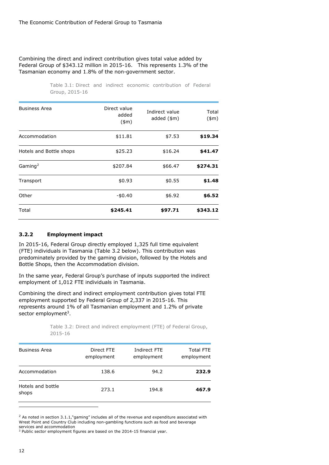#### Combining the direct and indirect contribution gives total value added by Federal Group of \$343.12 million in 2015-16. This represents 1.3% of the Tasmanian economy and 1.8% of the non-government sector.

Table 3.1: Direct and indirect economic contribution of Federal Group, 2015-16

<span id="page-12-0"></span>

| <b>Business Area</b>    | Direct value<br>added<br>$(\text{m})$ | Indirect value<br>added $(\$m)$ | Total<br>$(*m)$ |
|-------------------------|---------------------------------------|---------------------------------|-----------------|
| Accommodation           | \$11.81                               | \$7.53                          | \$19.34         |
| Hotels and Bottle shops | \$25.23                               | \$16.24                         | \$41.47         |
| Gaming <sup>2</sup>     | \$207.84                              | \$66.47                         | \$274.31        |
| Transport               | \$0.93                                | \$0.55                          | \$1.48          |
| Other                   | $-$0.40$                              | \$6.92                          | \$6.52          |
| Total                   | \$245.41                              | \$97.71                         | \$343.12        |

#### **3.2.2 Employment impact**

In 2015-16, Federal Group directly employed 1,325 full time equivalent (FTE) individuals in Tasmania (Table [3.2 b](#page-12-1)elow). This contribution was predominately provided by the gaming division, followed by the Hotels and Bottle Shops, then the Accommodation division.

In the same year, Federal Group's purchase of inputs supported the indirect employment of 1,012 FTE individuals in Tasmania.

Combining the direct and indirect employment contribution gives total FTE employment supported by Federal Group of 2,337 in 2015-16. This represents around 1% of all Tasmanian employment and 1.2% of private sector employment<sup>3</sup>.

> Table 3.2: Direct and indirect employment (FTE) of Federal Group, 2015-16

<span id="page-12-1"></span>

| <b>Business Area</b>       | Direct FTE<br>employment | Indirect FTE<br>employment | <b>Total FTE</b><br>employment |
|----------------------------|--------------------------|----------------------------|--------------------------------|
| Accommodation              | 138.6                    | 94.2                       | 232.9                          |
| Hotels and bottle<br>shops | 273.1                    | 194.8                      | 467.9                          |

 $2$  As noted in section [3.1.1](#page-10-0),"gaming" includes all of the revenue and expenditure associated with Wrest Point and Country Club including non-gambling functions such as food and beverage services and accommodation

-

<sup>&</sup>lt;sup>3</sup> Public sector employment figures are based on the 2014-15 financial year.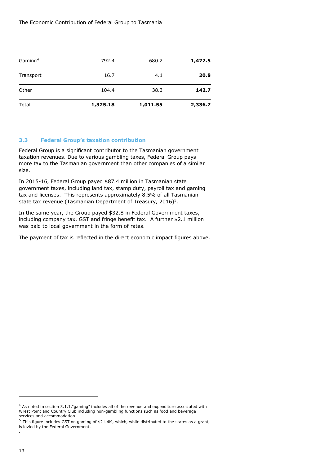The Economic Contribution of Federal Group to Tasmania

| Gaming <sup>4</sup><br>Transport | 16.7     | 4.1      | 1,472.5<br>20.8 |
|----------------------------------|----------|----------|-----------------|
| Other                            | 104.4    | 38.3     | 142.7           |
| Total                            | 1,325.18 | 1,011.55 | 2,336.7         |

#### **3.3 Federal Group's taxation contribution**

Federal Group is a significant contributor to the Tasmanian government taxation revenues. Due to various gambling taxes, Federal Group pays more tax to the Tasmanian government than other companies of a similar size.

In 2015-16, Federal Group payed \$87.4 million in Tasmanian state government taxes, including land tax, stamp duty, payroll tax and gaming tax and licenses. This represents approximately 8.5% of all Tasmanian state tax revenue (Tasmanian Department of Treasury, 2016)<sup>5</sup>.

In the same year, the Group payed \$32.8 in Federal Government taxes, including company tax, GST and fringe benefit tax. A further \$2.1 million was paid to local government in the form of rates.

The payment of tax is reflected in the direct economic impact figures above.

.

-

<sup>4</sup> As noted in section [3.1.1](#page-10-0),"gaming" includes all of the revenue and expenditure associated with Wrest Point and Country Club including non-gambling functions such as food and beverage services and accommodation

<sup>5</sup> This figure includes GST on gaming of \$21.4M, which, while distributed to the states as a grant, is levied by the Federal Government.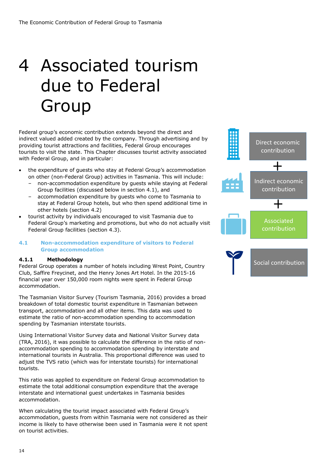# <span id="page-14-1"></span>4 Associated tourism due to Federal Group

Federal group's economic contribution extends beyond the direct and indirect valued added created by the company. Through advertising and by providing tourist attractions and facilities, Federal Group encourages tourists to visit the state. This Chapter discusses tourist activity associated with Federal Group, and in particular:

- the expenditure of guests who stay at Federal Group's accommodation on other (non-Federal Group) activities in Tasmania. This will include:
	- non-accommodation expenditure by guests while staying at Federal Group facilities (discussed below in section 4.1), and
	- accommodation expenditure by guests who come to Tasmania to stay at Federal Group hotels, but who then spend additional time in other hotels (section 4.2)
- tourist activity by individuals encouraged to visit Tasmania due to Federal Group's marketing and promotions, but who do not actually visit Federal Group facilities (section 4.3).

#### <span id="page-14-0"></span>**4.1 Non-accommodation expenditure of visitors to Federal Group accommodation**

#### **4.1.1 Methodology**

Federal Group operates a number of hotels including Wrest Point, Country Club, Saffire Freycinet, and the Henry Jones Art Hotel. In the 2015-16 financial year over 150,000 room nights were spent in Federal Group accommodation.

The Tasmanian Visitor Survey (Tourism Tasmania, 2016) provides a broad breakdown of total domestic tourist expenditure in Tasmanian between transport, accommodation and all other items. This data was used to estimate the ratio of non-accommodation spending to accommodation spending by Tasmanian interstate tourists.

Using International Visitor Survey data and National Visitor Survey data (TRA, 2016), it was possible to calculate the difference in the ratio of nonaccommodation spending to accommodation spending by interstate and international tourists in Australia. This proportional difference was used to adjust the TVS ratio (which was for interstate tourists) for international tourists.

This ratio was applied to expenditure on Federal Group accommodation to estimate the total additional consumption expenditure that the average interstate and international guest undertakes in Tasmania besides accommodation.

When calculating the tourist impact associated with Federal Group's accommodation, guests from within Tasmania were not considered as their income is likely to have otherwise been used in Tasmania were it not spent on tourist activities.

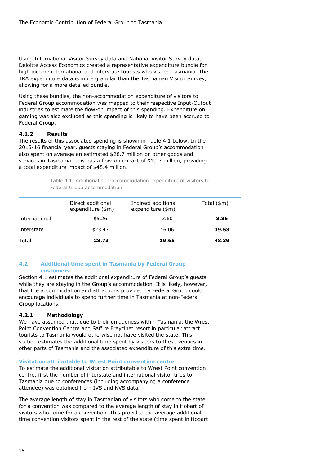Using International Visitor Survey data and National Visitor Survey data, Deloitte Access Economics created a representative expenditure bundle for high income international and interstate tourists who visited Tasmania. The TRA expenditure data is more granular than the Tasmanian Visitor Survey, allowing for a more detailed bundle.

Using these bundles, the non-accommodation expenditure of visitors to Federal Group accommodation was mapped to their respective Input-Output industries to estimate the flow-on impact of this spending. Expenditure on gaming was also excluded as this spending is likely to have been accrued to Federal Group.

#### **4.1.2 Results**

The results of this associated spending is shown in Table [4.1 b](#page-15-0)elow. In the 2015-16 financial year, guests staying in Federal Group's accommodation also spent on average an estimated \$28.7 million on other goods and services in Tasmania. This has a flow-on impact of \$19.7 million, providing a total expenditure impact of \$48.4 million.

| Table 4.1: Additional non-accommodation expenditure of visitors to |  |  |
|--------------------------------------------------------------------|--|--|
| Federal Group accommodation                                        |  |  |

<span id="page-15-0"></span>

| Total         | 28.73                                          | 19.65                                    | 48.39               |
|---------------|------------------------------------------------|------------------------------------------|---------------------|
| Interstate    | \$23.47                                        | 16.06                                    | 39.53               |
| International | \$5.26                                         | 3.60                                     | 8.86                |
|               | Direct additional<br>expenditure $(\text{3m})$ | Indirect additional<br>expenditure (\$m) | Total $(\text{3m})$ |

#### **4.2 Additional time spent in Tasmania by Federal Group customers**

Section [4.1](#page-14-0) estimates the additional expenditure of Federal Group's guests while they are staying in the Group's accommodation. It is likely, however, that the accommodation and attractions provided by Federal Group could encourage individuals to spend further time in Tasmania at non-Federal Group locations.

### **4.2.1 Methodology**

We have assumed that, due to their uniqueness within Tasmania, the Wrest Point Convention Centre and Saffire Freycinet resort in particular attract tourists to Tasmania would otherwise not have visited the state. This section estimates the additional time spent by visitors to these venues in other parts of Tasmania and the associated expenditure of this extra time.

#### **Visitation attributable to Wrest Point convention centre**

To estimate the additional visitation attributable to Wrest Point convention centre, first the number of interstate and international visitor trips to Tasmania due to conferences (including accompanying a conference attendee) was obtained from IVS and NVS data.

The average length of stay in Tasmanian of visitors who come to the state for a convention was compared to the average length of stay in Hobart of visitors who come for a convention. This provided the average additional time convention visitors spent in the rest of the state (time spent in Hobart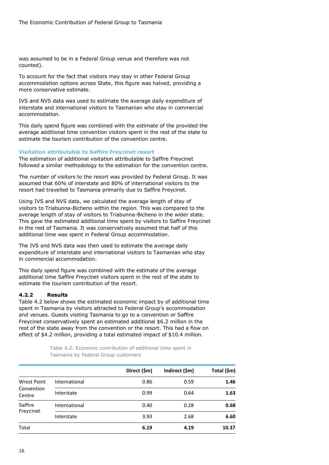was assumed to be in a Federal Group venue and therefore was not counted).

To account for the fact that visitors may stay in other Federal Group accommodation options across State, this figure was halved, providing a more conservative estimate.

IVS and NVS data was used to estimate the average daily expenditure of interstate and international visitors to Tasmanian who stay in commercial accommodation.

This daily spend figure was combined with the estimate of the provided the average additional time convention visitors spent in the rest of the state to estimate the tourism contribution of the convention centre.

#### **Visitation attributable to Saffire Freycinet resort**

The estimation of additional visitation attributable to Saffire Freycinet followed a similar methodology to the estimation for the convention centre.

The number of visitors to the resort was provided by Federal Group. It was assumed that 60% of interstate and 80% of international visitors to the resort had travelled to Tasmania primarily due to Saffire Freycinet.

Using IVS and NVS data, we calculated the average length of stay of visitors to Triabunna-Bicheno within the region. This was compared to the average length of stay of visitors to Triabunna-Bicheno in the wider state. This gave the estimated additional time spent by visitors to Saffire Freycinet in the rest of Tasmania. It was conservatively assumed that half of this additional time was spent in Federal Group accommodation.

The IVS and NVS data was then used to estimate the average daily expenditure of interstate and international visitors to Tasmanian who stay in commercial accommodation.

This daily spend figure was combined with the estimate of the average additional time Saffire Freycinet visitors spent in the rest of the state to estimate the tourism contribution of the resort.

#### **4.2.2 Results**

Table [4.2 b](#page-16-0)elow shows the estimated economic impact by of additional time spent in Tasmania by visitors attracted to Federal Group's accommodation and venues. Guests visiting Tasmania to go to a convention or Saffire Freycinet conservatively spent an estimated additional \$6.2 million in the rest of the state away from the convention or the resort. This had a flow on effect of \$4.2 million, providing a total estimated impact of \$10.4 million.

> Table 4.2: Economic contribution of additional time spent in Tasmania by Federal Group customers

<span id="page-16-0"></span>

|                      |               | Direct (\$m) | Indirect (\$m) | Total (\$m) |
|----------------------|---------------|--------------|----------------|-------------|
| Wrest Point          | International | 0.86         | 0.59           | 1.46        |
| Convention<br>Centre | Interstate    | 0.99         | 0.64           | 1.63        |
| Saffire              | International | 0.40         | 0.28           | 0.68        |
| Freycinet            | Interstate    | 3.93         | 2.68           | 6.60        |
| Total                |               | 6.19         | 4.19           | 10.37       |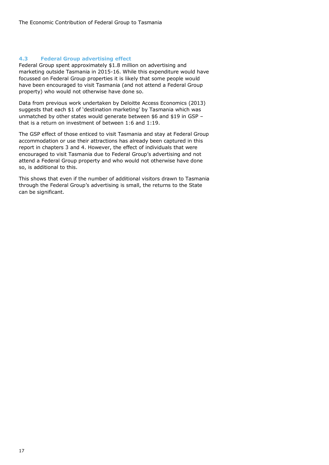#### **4.3 Federal Group advertising effect**

Federal Group spent approximately \$1.8 million on advertising and marketing outside Tasmania in 2015-16. While this expenditure would have focussed on Federal Group properties it is likely that some people would have been encouraged to visit Tasmania (and not attend a Federal Group property) who would not otherwise have done so.

Data from previous work undertaken by Deloitte Access Economics (2013) suggests that each \$1 of 'destination marketing' by Tasmania which was unmatched by other states would generate between \$6 and \$19 in GSP – that is a return on investment of between 1:6 and 1:19.

The GSP effect of those enticed to visit Tasmania and stay at Federal Group accommodation or use their attractions has already been captured in this report in chapters 3 and 4. However, the effect of individuals that were encouraged to visit Tasmania due to Federal Group's advertising and not attend a Federal Group property and who would not otherwise have done so, is additional to this.

This shows that even if the number of additional visitors drawn to Tasmania through the Federal Group's advertising is small, the returns to the State can be significant.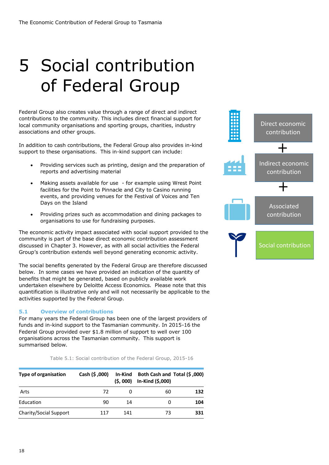# 5 Social contribution of Federal Group

Federal Group also creates value through a range of direct and indirect contributions to the community. This includes direct financial support for local community organisations and sporting groups, charities, industry associations and other groups.

In addition to cash contributions, the Federal Group also provides in-kind support to these organisations. This in-kind support can include:

- Providing services such as printing, design and the preparation of reports and advertising material
- Making assets available for use for example using Wrest Point facilities for the Point to Pinnacle and City to Casino running events, and providing venues for the Festival of Voices and Ten Days on the Island
- Providing prizes such as accommodation and dining packages to organisations to use for fundraising purposes.

The economic activity impact associated with social support provided to the community is part of the base direct economic contribution assessment discussed in Chapter 3. However, as with all social activities the Federal Group's contribution extends well beyond generating economic activity.

The social benefits generated by the Federal Group are therefore discussed below. In some cases we have provided an indication of the quantity of benefits that might be generated, based on publicly available work undertaken elsewhere by Deloitte Access Economics. Please note that this quantification is illustrative only and will not necessarily be applicable to the activities supported by the Federal Group.

### **5.1 Overview of contributions**

For many years the Federal Group has been one of the largest providers of funds and in-kind support to the Tasmanian community. In 2015-16 the Federal Group provided over \$1.8 million of support to well over 100 organisations across the Tasmanian community. This support is summarised below.

Table 5.1: Social contribution of the Federal Group, 2015-16

| <b>Type of organisation</b> | Cash (\$,000) | In-Kind<br>(5,000) | Both Cash and Total (\$,000)<br>In-Kind (\$,000) |     |
|-----------------------------|---------------|--------------------|--------------------------------------------------|-----|
| Arts                        | 72            |                    | 60                                               | 132 |
| Education                   | 90            | 14                 | 0                                                | 104 |
| Charity/Social Support      | 117           | 141                | 73                                               | 331 |

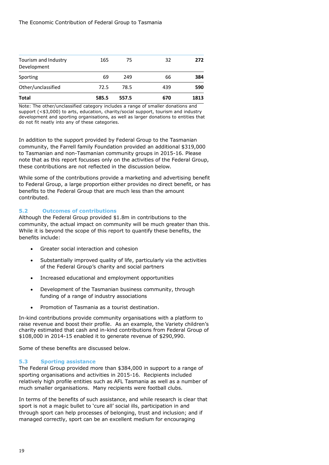|      |      |     | 1813                  |
|------|------|-----|-----------------------|
| 72.5 | 78.5 | 439 | 590                   |
| 69   | 249  | 66  | 384                   |
| 165  | 75   | 32  | 272                   |
|      |      |     | 670<br>585.5<br>557.5 |

Note: The other/unclassified category includes a range of smaller donations and support (<\$3,000) to arts, education, charity/social support, tourism and industry development and sporting organisations, as well as larger donations to entities that do not fit neatly into any of these categories.

In addition to the support provided by Federal Group to the Tasmanian community, the Farrell family Foundation provided an additional \$319,000 to Tasmanian and non-Tasmanian community groups in 2015-16. Please note that as this report focusses only on the activities of the Federal Group, these contributions are not reflected in the discussion below.

While some of the contributions provide a marketing and advertising benefit to Federal Group, a large proportion either provides no direct benefit, or has benefits to the Federal Group that are much less than the amount contributed.

### **5.2 Outcomes of contributions**

Although the Federal Group provided \$1.8m in contributions to the community, the actual impact on community will be much greater than this. While it is beyond the scope of this report to quantify these benefits, the benefits include:

- Greater social interaction and cohesion
- Substantially improved quality of life, particularly via the activities of the Federal Group's charity and social partners
- Increased educational and employment opportunities
- Development of the Tasmanian business community, through funding of a range of industry associations
- Promotion of Tasmania as a tourist destination.

In-kind contributions provide community organisations with a platform to raise revenue and boost their profile. As an example, the Variety children's charity estimated that cash and in-kind contributions from Federal Group of \$108,000 in 2014-15 enabled it to generate revenue of \$290,990.

Some of these benefits are discussed below.

#### **5.3 Sporting assistance**

The Federal Group provided more than \$384,000 in support to a range of sporting organisations and activities in 2015-16. Recipients included relatively high profile entities such as AFL Tasmania as well as a number of much smaller organisations. Many recipients were football clubs.

In terms of the benefits of such assistance, and while research is clear that sport is not a magic bullet to 'cure all' social ills, participation in and through sport can help processes of belonging, trust and inclusion; and if managed correctly, sport can be an excellent medium for encouraging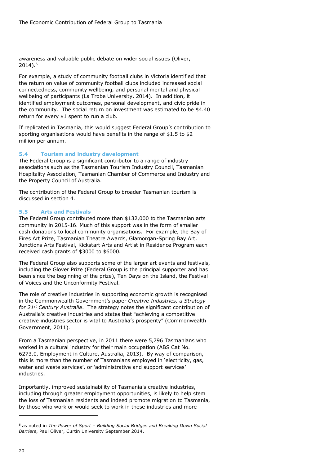awareness and valuable public debate on wider social issues (Oliver, 2014).<sup>6</sup>

For example, a study of community football clubs in Victoria identified that the return on value of community football clubs included increased social connectedness, community wellbeing, and personal mental and physical wellbeing of participants (La Trobe University, 2014). In addition, it identified employment outcomes, personal development, and civic pride in the community. The social return on investment was estimated to be \$4.40 return for every \$1 spent to run a club.

If replicated in Tasmania, this would suggest Federal Group's contribution to sporting organisations would have benefits in the range of \$1.5 to \$2 million per annum.

#### **5.4 Tourism and industry development**

The Federal Group is a significant contributor to a range of industry associations such as the Tasmanian Tourism Industry Council, Tasmanian Hospitality Association, Tasmanian Chamber of Commerce and Industry and the Property Council of Australia.

The contribution of the Federal Group to broader Tasmanian tourism is discussed in section [4.](#page-14-1)

#### **5.5 Arts and Festivals**

The Federal Group contributed more than \$132,000 to the Tasmanian arts community in 2015-16. Much of this support was in the form of smaller cash donations to local community organisations. For example, the Bay of Fires Art Prize, Tasmanian Theatre Awards, Glamorgan-Spring Bay Art, Junctions Arts Festival, Kickstart Arts and Artist in Residence Program each received cash grants of \$3000 to \$6000.

The Federal Group also supports some of the larger art events and festivals, including the Glover Prize (Federal Group is the principal supporter and has been since the beginning of the prize), Ten Days on the Island, the Festival of Voices and the Unconformity Festival.

The role of creative industries in supporting economic growth is recognised in the Commonwealth Government's paper *Creative Industries, a Strategy for 21st Century Australia*. The strategy notes the significant contribution of Australia's creative industries and states that "achieving a competitive creative industries sector is vital to Australia's prosperity" (Commonwealth Government, 2011).

From a Tasmanian perspective, in 2011 there were 5,796 Tasmanians who worked in a cultural industry for their main occupation (ABS Cat No. 6273.0, Employment in Culture, Australia, 2013). By way of comparison, this is more than the number of Tasmanians employed in 'electricity, gas, water and waste services', or 'administrative and support services' industries.

Importantly, improved sustainability of Tasmania's creative industries, including through greater employment opportunities, is likely to help stem the loss of Tasmanian residents and indeed promote migration to Tasmania, by those who work or would seek to work in these industries and more

-

<sup>6</sup> as noted in *The Power of Sport – Building Social Bridges and Breaking Down Social Barriers*, Paul Oliver, Curtin University September 2014.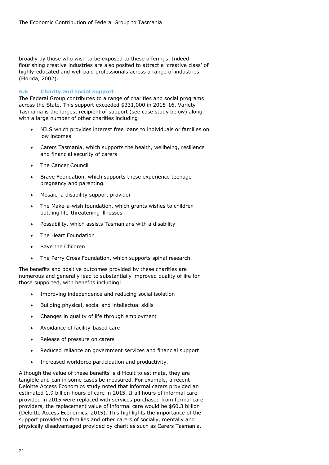broadly by those who wish to be exposed to these offerings. Indeed flourishing creative industries are also posited to attract a 'creative class' of highly-educated and well paid professionals across a range of industries (Florida, 2002).

#### **5.6 Charity and social support**

The Federal Group contributes to a range of charities and social programs across the State. This support exceeded \$331,000 in 2015-16. Variety Tasmania is the largest recipient of support (see case study below) along with a large number of other charities including:

- NILS which provides interest free loans to individuals or families on low incomes
- Carers Tasmania, which supports the health, wellbeing, resilience and financial security of carers
- The Cancer Council
- Brave Foundation, which supports those experience teenage pregnancy and parenting.
- Mosaic, a disability support provider
- The Make-a-wish foundation, which grants wishes to children battling life-threatening illnesses
- Possability, which assists Tasmanians with a disability
- The Heart Foundation
- Save the Children
- The Perry Cross Foundation, which supports spinal research.

The benefits and positive outcomes provided by these charities are numerous and generally lead to substantially improved quality of life for those supported, with benefits including:

- Improving independence and reducing social isolation
- Building physical, social and intellectual skills
- Changes in quality of life through employment
- Avoidance of facility-based care
- Release of pressure on carers
- Reduced reliance on government services and financial support
- Increased workforce participation and productivity.

Although the value of these benefits is difficult to estimate, they are tangible and can in some cases be measured. For example, a recent Deloitte Access Economics study noted that informal carers provided an estimated 1.9 billion hours of care in 2015. If all hours of informal care provided in 2015 were replaced with services purchased from formal care providers, the replacement value of informal care would be \$60.3 billion (Deloitte Access Economics, 2015). This highlights the importance of the support provided to families and other carers of socially, mentally and physically disadvantaged provided by charities such as Carers Tasmania.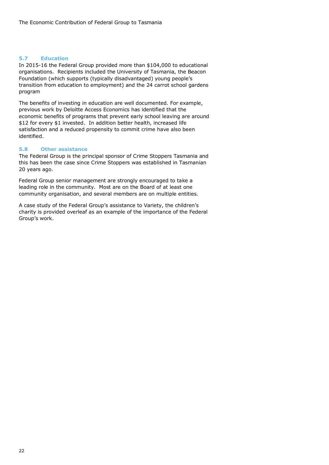### **5.7 Education**

In 2015-16 the Federal Group provided more than \$104,000 to educational organisations. Recipients included the University of Tasmania, the Beacon Foundation (which supports (typically disadvantaged) young people's transition from education to employment) and the 24 carrot school gardens program

The benefits of investing in education are well documented. For example, previous work by Deloitte Access Economics has identified that the economic benefits of programs that prevent early school leaving are around \$12 for every \$1 invested. In addition better health, increased life satisfaction and a reduced propensity to commit crime have also been identified.

#### **5.8 Other assistance**

The Federal Group is the principal sponsor of Crime Stoppers Tasmania and this has been the case since Crime Stoppers was established in Tasmanian 20 years ago.

Federal Group senior management are strongly encouraged to take a leading role in the community. Most are on the Board of at least one community organisation, and several members are on multiple entities.

A case study of the Federal Group's assistance to Variety, the children's charity is provided overleaf as an example of the importance of the Federal Group's work.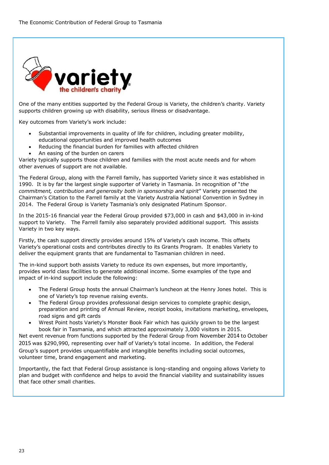

One of the many entities supported by the Federal Group is Variety, the children's charity. Variety supports children growing up with disability, serious illness or disadvantage.

Key outcomes from Variety's work include:

- Substantial improvements in quality of life for children, including greater mobility, educational opportunities and improved health outcomes
- Reducing the financial burden for families with affected children
- An easing of the burden on carers

Variety typically supports those children and families with the most acute needs and for whom other avenues of support are not available.

The Federal Group, along with the Farrell family, has supported Variety since it was established in 1990. It is by far the largest single supporter of Variety in Tasmania. In recognition of "*the commitment, contribution and generosity both in sponsorship and spirit*" Variety presented the Chairman's Citation to the Farrell family at the Variety Australia National Convention in Sydney in 2014. The Federal Group is Variety Tasmania's only designated Platinum Sponsor.

In the 2015-16 financial year the Federal Group provided \$73,000 in cash and \$43,000 in in-kind support to Variety. The Farrell family also separately provided additional support. This assists Variety in two key ways.

Firstly, the cash support directly provides around 15% of Variety's cash income. This offsets Variety's operational costs and contributes directly to its Grants Program. It enables Variety to deliver the equipment grants that are fundamental to Tasmanian children in need.

The in-kind support both assists Variety to reduce its own expenses, but more importantly, provides world class facilities to generate additional income. Some examples of the type and impact of in-kind support include the following:

- The Federal Group hosts the annual Chairman's luncheon at the Henry Jones hotel. This is one of Variety's top revenue raising events.
- The Federal Group provides professional design services to complete graphic design, preparation and printing of Annual Review, receipt books, invitations marketing, envelopes, road signs and gift cards
- Wrest Point hosts Variety's Monster Book Fair which has quickly grown to be the largest book fair in Tasmania, and which attracted approximately 3,000 visitors in 2015.

Net event revenue from functions supported by the Federal Group from November 2014 to October 2015 was \$290,990, representing over half of Variety's total income. In addition, the Federal Group's support provides unquantifiable and intangible benefits including social outcomes, volunteer time, brand engagement and marketing.

Importantly, the fact that Federal Group assistance is long-standing and ongoing allows Variety to plan and budget with confidence and helps to avoid the financial viability and sustainability issues that face other small charities.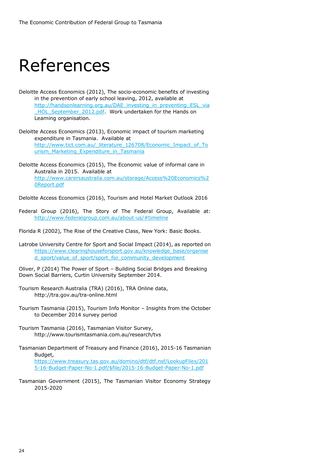### References

- Deloitte Access Economics (2012), The socio-economic benefits of investing in the prevention of early school leaving, 2012, available at [http://handsonlearning.org.au/DAE\\_investing\\_in\\_preventing\\_ESL\\_via](http://handsonlearning.org.au/DAE_investing_in_preventing_ESL_via_HOL_September_2012.pdf) HOL September 2012.pdf. Work undertaken for the Hands on Learning organisation.
- Deloitte Access Economics (2013), Economic impact of tourism marketing expenditure in Tasmania. Available at [http://www.tict.com.au/\\_literature\\_126708/Economic\\_Impact\\_of\\_To](http://www.tict.com.au/_literature_126708/Economic_Impact_of_Tourism_Marketing_Expenditure_in_Tasmania) [urism\\_Marketing\\_Expenditure\\_in\\_Tasmania](http://www.tict.com.au/_literature_126708/Economic_Impact_of_Tourism_Marketing_Expenditure_in_Tasmania)
- Deloitte Access Economics (2015), The Economic value of informal care in Australia in 2015. Available at [http://www.carersaustralia.com.au/storage/Access%20Economics%2](http://www.carersaustralia.com.au/storage/Access%20Economics%20Report.pdf) [0Report.pdf](http://www.carersaustralia.com.au/storage/Access%20Economics%20Report.pdf)
- Deloitte Access Economics (2016), Tourism and Hotel Market Outlook 2016
- Federal Group (2016), The Story of The Federal Group, Available at: <http://www.federalgroup.com.au/about-us/#timeline>
- Florida R (2002), The Rise of the Creative Class, New York: Basic Books.
- Latrobe University Centre for Sport and Social Impact (2014), as reported on [https://www.clearinghouseforsport.gov.au/knowledge\\_base/organise](https://www.clearinghouseforsport.gov.au/knowledge_base/organised_sport/value_of_sport/sport_for_community_development) [d\\_sport/value\\_of\\_sport/sport\\_for\\_community\\_development](https://www.clearinghouseforsport.gov.au/knowledge_base/organised_sport/value_of_sport/sport_for_community_development)
- Oliver, P (2014) The Power of Sport Building Social Bridges and Breaking Down Social Barriers, Curtin University September 2014.
- Tourism Research Australia (TRA) (2016), TRA Online data, http://tra.gov.au/tra-online.html
- Tourism Tasmania (2015), Tourism Info Monitor Insights from the October to December 2014 survey period
- Tourism Tasmania (2016), Tasmanian Visitor Survey, http://www.tourismtasmania.com.au/research/tvs
- Tasmanian Department of Treasury and Finance (2016), 2015-16 Tasmanian Budget, [https://www.treasury.tas.gov.au/domino/dtf/dtf.nsf/LookupFiles/201](https://www.treasury.tas.gov.au/domino/dtf/dtf.nsf/LookupFiles/2015-16-Budget-Paper-No-1.pdf/$file/2015-16-Budget-Paper-No-1.pdf) [5-16-Budget-Paper-No-1.pdf/\\$file/2015-16-Budget-Paper-No-1.pdf](https://www.treasury.tas.gov.au/domino/dtf/dtf.nsf/LookupFiles/2015-16-Budget-Paper-No-1.pdf/$file/2015-16-Budget-Paper-No-1.pdf)
- Tasmanian Government (2015), The Tasmanian Visitor Economy Strategy 2015-2020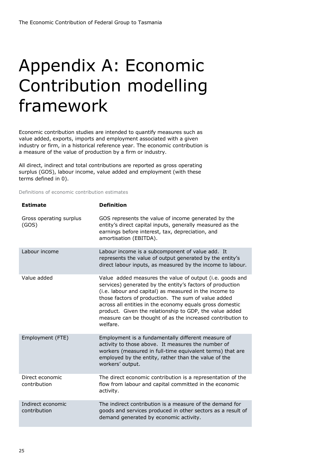### Appendix A: Economic Contribution modelling framework

Economic contribution studies are intended to quantify measures such as value added, exports, imports and employment associated with a given industry or firm, in a historical reference year. The economic contribution is a measure of the value of production by a firm or industry.

All direct, indirect and total contributions are reported as gross operating surplus (GOS), labour income, value added and employment (with these terms defined in [0\)](#page-25-0).

<span id="page-25-0"></span>Definitions of economic contribution estimates

| <b>Estimate</b>                   | <b>Definition</b>                                                                                                                                                                                                                                                                                                                                                                                                                       |
|-----------------------------------|-----------------------------------------------------------------------------------------------------------------------------------------------------------------------------------------------------------------------------------------------------------------------------------------------------------------------------------------------------------------------------------------------------------------------------------------|
| Gross operating surplus<br>(GOS)  | GOS represents the value of income generated by the<br>entity's direct capital inputs, generally measured as the<br>earnings before interest, tax, depreciation, and<br>amortisation (EBITDA).                                                                                                                                                                                                                                          |
| Labour income                     | Labour income is a subcomponent of value add. It<br>represents the value of output generated by the entity's<br>direct labour inputs, as measured by the income to labour.                                                                                                                                                                                                                                                              |
| Value added                       | Value added measures the value of output (i.e. goods and<br>services) generated by the entity's factors of production<br>(i.e. labour and capital) as measured in the income to<br>those factors of production. The sum of value added<br>across all entities in the economy equals gross domestic<br>product. Given the relationship to GDP, the value added<br>measure can be thought of as the increased contribution to<br>welfare. |
| Employment (FTE)                  | Employment is a fundamentally different measure of<br>activity to those above. It measures the number of<br>workers (measured in full-time equivalent terms) that are<br>employed by the entity, rather than the value of the<br>workers' output.                                                                                                                                                                                       |
| Direct economic<br>contribution   | The direct economic contribution is a representation of the<br>flow from labour and capital committed in the economic<br>activity.                                                                                                                                                                                                                                                                                                      |
| Indirect economic<br>contribution | The indirect contribution is a measure of the demand for<br>goods and services produced in other sectors as a result of<br>demand generated by economic activity.                                                                                                                                                                                                                                                                       |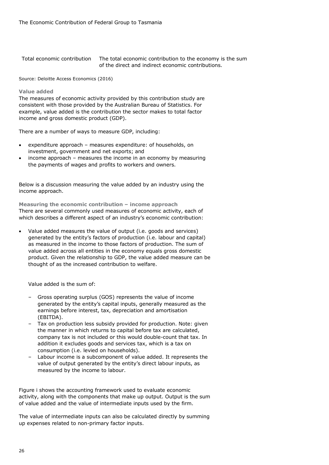| Total economic contribution | The total economic contribution to the economy is the sum |
|-----------------------------|-----------------------------------------------------------|
|                             | of the direct and indirect economic contributions.        |

Source: Deloitte Access Economics (2016)

#### **Value added**

The measures of economic activity provided by this contribution study are consistent with those provided by the Australian Bureau of Statistics. For example, value added is the contribution the sector makes to total factor income and gross domestic product (GDP).

There are a number of ways to measure GDP, including:

- expenditure approach measures expenditure: of households, on investment, government and net exports; and
- income approach measures the income in an economy by measuring the payments of wages and profits to workers and owners.

Below is a discussion measuring the value added by an industry using the income approach.

**Measuring the economic contribution – income approach** There are several commonly used measures of economic activity, each of which describes a different aspect of an industry's economic contribution:

 Value added measures the value of output (i.e. goods and services) generated by the entity's factors of production (i.e. labour and capital) as measured in the income to those factors of production. The sum of value added across all entities in the economy equals gross domestic product. Given the relationship to GDP, the value added measure can be thought of as the increased contribution to welfare.

Value added is the sum of:

- Gross operating surplus (GOS) represents the value of income generated by the entity's capital inputs, generally measured as the earnings before interest, tax, depreciation and amortisation (EBITDA).
- Tax on production less subsidy provided for production. Note: given the manner in which returns to capital before tax are calculated, company tax is not included or this would double-count that tax. In addition it excludes goods and services tax, which is a tax on consumption (i.e. levied on households).
- Labour income is a subcomponent of value added. It represents the value of output generated by the entity's direct labour inputs, as measured by the income to labour.

Figure i shows the accounting framework used to evaluate economic activity, along with the components that make up output. Output is the sum of value added and the value of intermediate inputs used by the firm.

The value of intermediate inputs can also be calculated directly by summing up expenses related to non-primary factor inputs.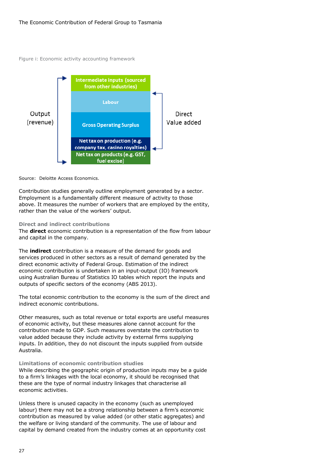Figure i: Economic activity accounting framework



#### Source: Deloitte Access Economics.

Contribution studies generally outline employment generated by a sector. Employment is a fundamentally different measure of activity to those above. It measures the number of workers that are employed by the entity, rather than the value of the workers' output.

#### **Direct and indirect contributions**

The **direct** economic contribution is a representation of the flow from labour and capital in the company.

The **indirect** contribution is a measure of the demand for goods and services produced in other sectors as a result of demand generated by the direct economic activity of Federal Group. Estimation of the indirect economic contribution is undertaken in an input-output (IO) framework using Australian Bureau of Statistics IO tables which report the inputs and outputs of specific sectors of the economy (ABS 2013).

The total economic contribution to the economy is the sum of the direct and indirect economic contributions.

Other measures, such as total revenue or total exports are useful measures of economic activity, but these measures alone cannot account for the contribution made to GDP. Such measures overstate the contribution to value added because they include activity by external firms supplying inputs. In addition, they do not discount the inputs supplied from outside Australia.

#### **Limitations of economic contribution studies**

While describing the geographic origin of production inputs may be a guide to a firm's linkages with the local economy, it should be recognised that these are the type of normal industry linkages that characterise all economic activities.

Unless there is unused capacity in the economy (such as unemployed labour) there may not be a strong relationship between a firm's economic contribution as measured by value added (or other static aggregates) and the welfare or living standard of the community. The use of labour and capital by demand created from the industry comes at an opportunity cost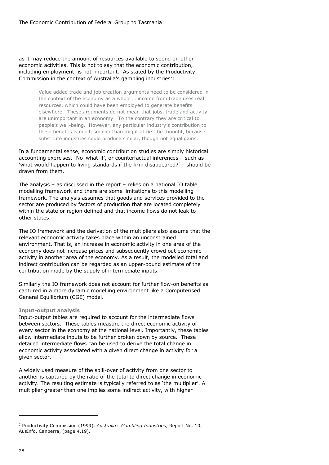as it may reduce the amount of resources available to spend on other economic activities. This is not to say that the economic contribution, including employment, is not important. As stated by the Productivity Commission in the context of Australia's gambling industries<sup>7</sup>:

> Value added trade and job creation arguments need to be considered in the context of the economy as a whole … income from trade uses real resources, which could have been employed to generate benefits elsewhere. These arguments do not mean that jobs, trade and activity are unimportant in an economy. To the contrary they are critical to people's well-being. However, any particular industry's contribution to these benefits is much smaller than might at first be thought, because substitute industries could produce similar, though not equal gains.

In a fundamental sense, economic contribution studies are simply historical accounting exercises. No 'what-if', or counterfactual inferences – such as 'what would happen to living standards if the firm disappeared?' – should be drawn from them.

The analysis – as discussed in the report – relies on a national IO table modelling framework and there are some limitations to this modelling framework. The analysis assumes that goods and services provided to the sector are produced by factors of production that are located completely within the state or region defined and that income flows do not leak to other states.

The IO framework and the derivation of the multipliers also assume that the relevant economic activity takes place within an unconstrained environment. That is, an increase in economic activity in one area of the economy does not increase prices and subsequently crowd out economic activity in another area of the economy. As a result, the modelled total and indirect contribution can be regarded as an upper-bound estimate of the contribution made by the supply of intermediate inputs.

Similarly the IO framework does not account for further flow-on benefits as captured in a more dynamic modelling environment like a Computerised General Equilibrium (CGE) model.

#### **Input-output analysis**

Input-output tables are required to account for the intermediate flows between sectors. These tables measure the direct economic activity of every sector in the economy at the national level. Importantly, these tables allow intermediate inputs to be further broken down by source. These detailed intermediate flows can be used to derive the total change in economic activity associated with a given direct change in activity for a given sector.

A widely used measure of the spill-over of activity from one sector to another is captured by the ratio of the total to direct change in economic activity. The resulting estimate is typically referred to as 'the multiplier'. A multiplier greater than one implies some indirect activity, with higher

-

<sup>7</sup> Productivity Commission (1999), *Australia's Gambling Industries*, Report No. 10, AusInfo, Canberra, (page 4.19).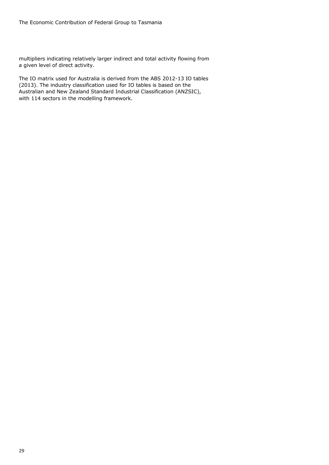multipliers indicating relatively larger indirect and total activity flowing from a given level of direct activity.

The IO matrix used for Australia is derived from the ABS 2012-13 IO tables (2013). The industry classification used for IO tables is based on the Australian and New Zealand Standard Industrial Classification (ANZSIC), with 114 sectors in the modelling framework.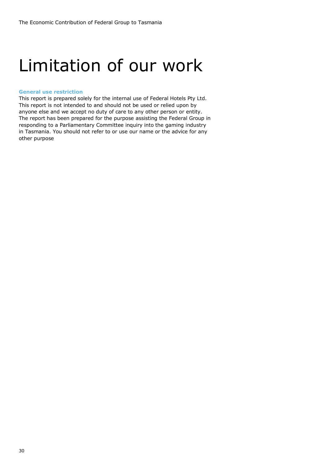### Limitation of our work

#### **General use restriction**

This report is prepared solely for the internal use of Federal Hotels Pty Ltd. This report is not intended to and should not be used or relied upon by anyone else and we accept no duty of care to any other person or entity. The report has been prepared for the purpose assisting the Federal Group in responding to a Parliamentary Committee inquiry into the gaming industry in Tasmania. You should not refer to or use our name or the advice for any other purpose